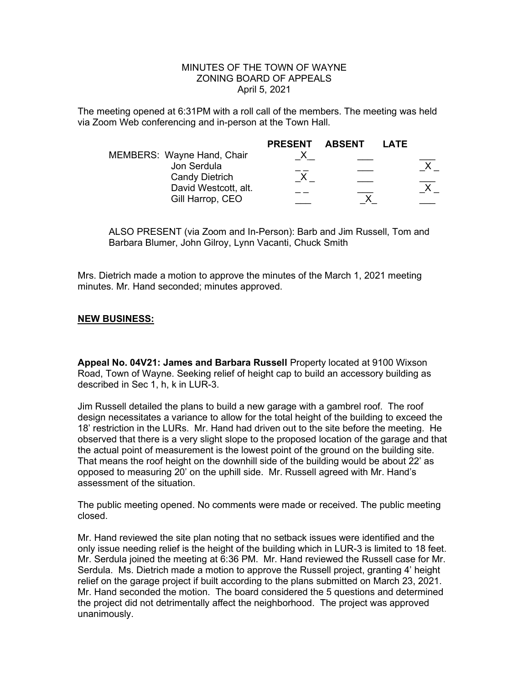## MINUTES OF THE TOWN OF WAYNE ZONING BOARD OF APPEALS April 5, 2021

The meeting opened at 6:31PM with a roll call of the members. The meeting was held via Zoom Web conferencing and in-person at the Town Hall.

|                                           | <b>PRESENT</b> | ABSENT | LATE |  |
|-------------------------------------------|----------------|--------|------|--|
| MEMBERS: Wayne Hand, Chair<br>Jon Serdula |                |        |      |  |
| <b>Candy Dietrich</b>                     |                |        |      |  |
| David Westcott, alt.                      |                |        |      |  |
| Gill Harrop, CEO                          |                |        |      |  |

ALSO PRESENT (via Zoom and In-Person): Barb and Jim Russell, Tom and Barbara Blumer, John Gilroy, Lynn Vacanti, Chuck Smith

Mrs. Dietrich made a motion to approve the minutes of the March 1, 2021 meeting minutes. Mr. Hand seconded; minutes approved.

## NEW BUSINESS:

Appeal No. 04V21: James and Barbara Russell Property located at 9100 Wixson Road, Town of Wayne. Seeking relief of height cap to build an accessory building as described in Sec 1, h, k in LUR-3.

Jim Russell detailed the plans to build a new garage with a gambrel roof. The roof design necessitates a variance to allow for the total height of the building to exceed the 18' restriction in the LURs. Mr. Hand had driven out to the site before the meeting. He observed that there is a very slight slope to the proposed location of the garage and that the actual point of measurement is the lowest point of the ground on the building site. That means the roof height on the downhill side of the building would be about 22' as opposed to measuring 20' on the uphill side. Mr. Russell agreed with Mr. Hand's assessment of the situation.

The public meeting opened. No comments were made or received. The public meeting closed.

Mr. Hand reviewed the site plan noting that no setback issues were identified and the only issue needing relief is the height of the building which in LUR-3 is limited to 18 feet. Mr. Serdula joined the meeting at 6:36 PM. Mr. Hand reviewed the Russell case for Mr. Serdula. Ms. Dietrich made a motion to approve the Russell project, granting 4' height relief on the garage project if built according to the plans submitted on March 23, 2021. Mr. Hand seconded the motion. The board considered the 5 questions and determined the project did not detrimentally affect the neighborhood. The project was approved unanimously.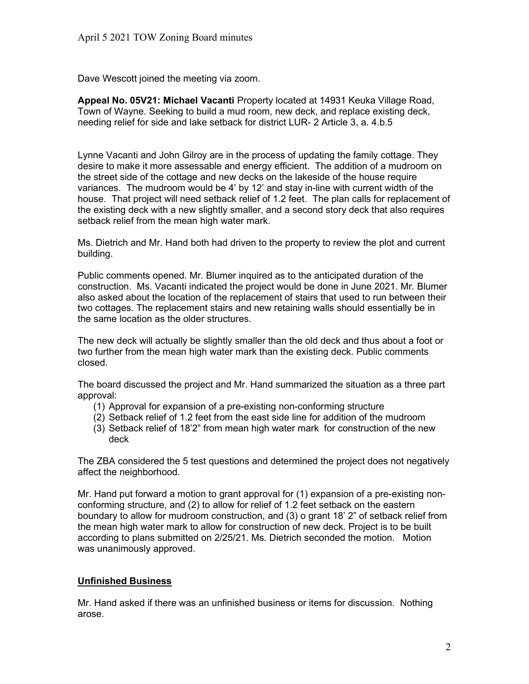Dave Wescott joined the meeting via zoom.

Appeal No. 05V21: Michael Vacanti Property located at 14931 Keuka Village Road, Town of Wayne. Seeking to build a mud room, new deck, and replace existing deck, needing relief for side and lake setback for district LUR- 2 Article 3, a. 4.b.5

Lynne Vacanti and John Gilroy are in the process of updating the family cottage. They desire to make it more assessable and energy efficient. The addition of a mudroom on the street side of the cottage and new decks on the lakeside of the house require variances. The mudroom would be 4' by 12' and stay in-line with current width of the house. That project will need setback relief of 1.2 feet. The plan calls for replacement of the existing deck with a new slightly smaller, and a second story deck that also requires setback relief from the mean high water mark.

Ms. Dietrich and Mr. Hand both had driven to the property to review the plot and current building.

Public comments opened. Mr. Blumer inquired as to the anticipated duration of the construction. Ms. Vacanti indicated the project would be done in June 2021. Mr. Blumer also asked about the location of the replacement of stairs that used to run between their two cottages. The replacement stairs and new retaining walls should essentially be in the same location as the older structures.

The new deck will actually be slightly smaller than the old deck and thus about a foot or two further from the mean high water mark than the existing deck. Public comments closed.

The board discussed the project and Mr. Hand summarized the situation as a three part approval:

- (1) Approval for expansion of a pre-existing non-conforming structure
- (2) Setback relief of 1.2 feet from the east side line for addition of the mudroom
- (3) Setback relief of 18'2" from mean high water mark for construction of the new deck

The ZBA considered the 5 test questions and determined the project does not negatively affect the neighborhood.

Mr. Hand put forward a motion to grant approval for (1) expansion of a pre-existing nonconforming structure, and (2) to allow for relief of 1.2 feet setback on the eastern boundary to allow for mudroom construction, and (3) o grant 18' 2" of setback relief from the mean high water mark to allow for construction of new deck. Project is to be built according to plans submitted on 2/25/21. Ms. Dietrich seconded the motion. Motion was unanimously approved.

## Unfinished Business

Mr. Hand asked if there was an unfinished business or items for discussion. Nothing arose.